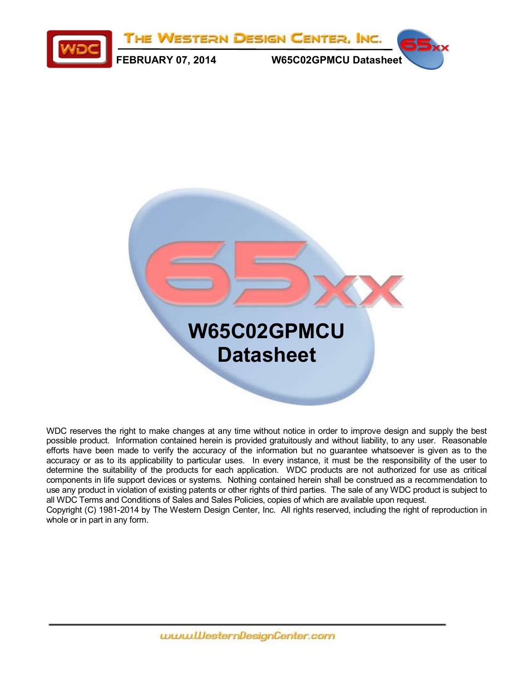



WDC reserves the right to make changes at any time without notice in order to improve design and supply the best possible product. Information contained herein is provided gratuitously and without liability, to any user. Reasonable efforts have been made to verify the accuracy of the information but no guarantee whatsoever is given as to the accuracy or as to its applicability to particular uses. In every instance, it must be the responsibility of the user to determine the suitability of the products for each application. WDC products are not authorized for use as critical components in life support devices or systems. Nothing contained herein shall be construed as a recommendation to use any product in violation of existing patents or other rights of third parties. The sale of any WDC product is subject to all WDC Terms and Conditions of Sales and Sales Policies, copies of which are available upon request. Copyright (C) 1981-2014 by The Western Design Center, Inc. All rights reserved, including the right of reproduction in whole or in part in any form.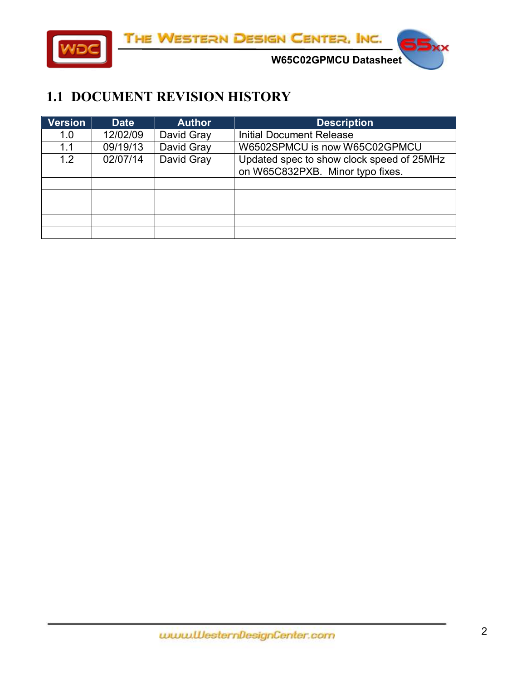

THE WESTERN DESIGN CENTER, INC.

**W65C02GPMCU Datasheet** 

#### <span id="page-1-0"></span>**1.1 DOCUMENT REVISION HISTORY**

| <b>Version</b> | <b>Date</b> | <b>Author</b> | <b>Description</b>                                                            |
|----------------|-------------|---------------|-------------------------------------------------------------------------------|
| 1.0            | 12/02/09    | David Gray    | <b>Initial Document Release</b>                                               |
| 1.1            | 09/19/13    | David Gray    | W6502SPMCU is now W65C02GPMCU                                                 |
| 1.2            | 02/07/14    | David Gray    | Updated spec to show clock speed of 25MHz<br>on W65C832PXB. Minor typo fixes. |
|                |             |               |                                                                               |
|                |             |               |                                                                               |
|                |             |               |                                                                               |
|                |             |               |                                                                               |
|                |             |               |                                                                               |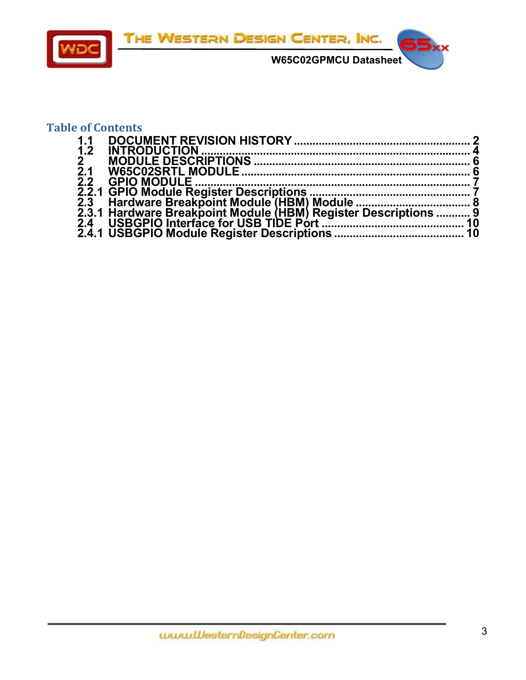

#### **Table of Contents**

| 1.1                                                             |  |
|-----------------------------------------------------------------|--|
| 1.2                                                             |  |
| 2 <sup>7</sup>                                                  |  |
| $\overline{2}.1$                                                |  |
| $\overline{2.2}$                                                |  |
|                                                                 |  |
|                                                                 |  |
| 2.3.1 Hardware Breakpoint Module (HBM) Register Descriptions  9 |  |
|                                                                 |  |
|                                                                 |  |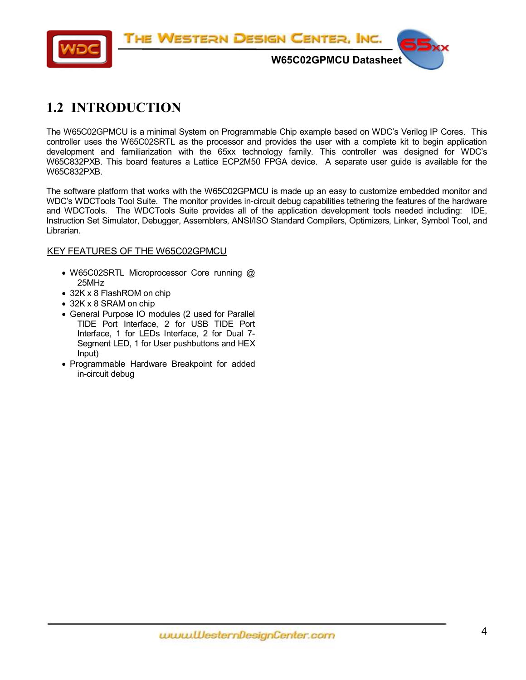

# <span id="page-3-0"></span>**1.2 INTRODUCTION**

The W65C02GPMCU is a minimal System on Programmable Chip example based on WDC's Verilog IP Cores. This controller uses the W65C02SRTL as the processor and provides the user with a complete kit to begin application development and familiarization with the 65xx technology family. This controller was designed for WDC's W65C832PXB. This board features a Lattice ECP2M50 FPGA device. A separate user guide is available for the W65C832PXB.

The software platform that works with the W65C02GPMCU is made up an easy to customize embedded monitor and WDC's WDCTools Tool Suite. The monitor provides in-circuit debug capabilities tethering the features of the hardware and WDCTools. The WDCTools Suite provides all of the application development tools needed including: IDE, Instruction Set Simulator, Debugger, Assemblers, ANSI/ISO Standard Compilers, Optimizers, Linker, Symbol Tool, and Librarian.

#### KEY FEATURES OF THE W65C02GPMCU

- W65C02SRTL Microprocessor Core running @ 25MHz
- 32K x 8 FlashROM on chip
- 32K x 8 SRAM on chip
- General Purpose IO modules (2 used for Parallel TIDE Port Interface, 2 for USB TIDE Port Interface, 1 for LEDs Interface, 2 for Dual 7- Segment LED, 1 for User pushbuttons and HEX Input)
- Programmable Hardware Breakpoint for added in-circuit debug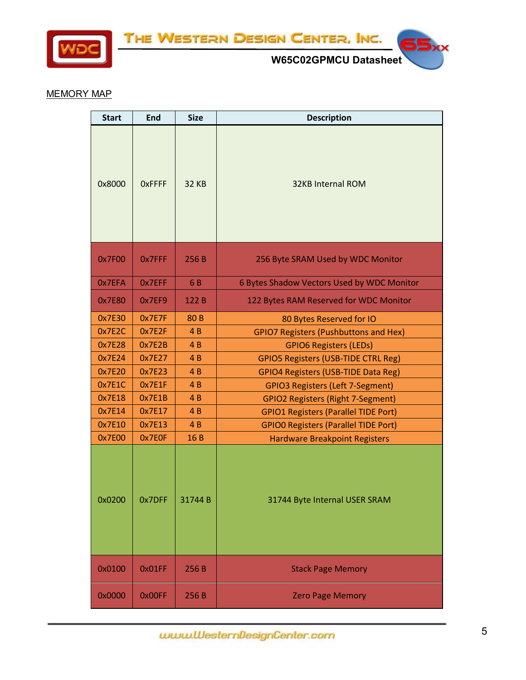

THE WESTERN DESIGN CENTER, INC.



ਤ

#### MEMORY MAP

| <b>Start</b> | End           | <b>Size</b>     | <b>Description</b>                           |
|--------------|---------------|-----------------|----------------------------------------------|
| 0x8000       | <b>OXFFFF</b> | <b>32 KB</b>    | <b>32KB Internal ROM</b>                     |
| 0x7F00       | 0x7FFF        | 256 B           | 256 Byte SRAM Used by WDC Monitor            |
| 0x7EFA       | 0x7EFF        | 6B              | 6 Bytes Shadow Vectors Used by WDC Monitor   |
| 0x7E80       | 0x7EF9        | 122 B           | 122 Bytes RAM Reserved for WDC Monitor       |
| 0x7E30       | 0x7E7F        | 80 <sub>B</sub> | 80 Bytes Reserved for IO                     |
| 0x7E2C       | 0x7E2F        | 4B              | <b>GPIO7 Registers (Pushbuttons and Hex)</b> |
| 0x7E28       | 0x7E2B        | 4B              | <b>GPIO6 Registers (LEDs)</b>                |
| 0x7E24       | 0x7E27        | 4 <sub>B</sub>  | <b>GPIO5 Registers (USB-TIDE CTRL Reg)</b>   |
| 0x7E20       | 0x7E23        | 4B              | <b>GPIO4 Registers (USB-TIDE Data Reg)</b>   |
| 0x7E1C       | 0x7E1F        | 4B              | <b>GPIO3 Registers (Left 7-Segment)</b>      |
| 0x7E18       | 0x7E1B        | 4B              | <b>GPIO2 Registers (Right 7-Segment)</b>     |
| 0x7E14       | 0x7E17        | 4B              | <b>GPIO1 Registers (Parallel TIDE Port)</b>  |
| 0x7E10       | 0x7E13        | 4B              | <b>GPIO0 Registers (Parallel TIDE Port)</b>  |
| 0x7E00       | 0x7E0F        | 16B             | <b>Hardware Breakpoint Registers</b>         |
| 0x0200       | 0x7DFF        | 31744B          | 31744 Byte Internal USER SRAM                |
| 0x0100       | 0x01FF        | 256 B           | <b>Stack Page Memory</b>                     |
| 0x0000       | 0x00FF        | 256 B           | <b>Zero Page Memory</b>                      |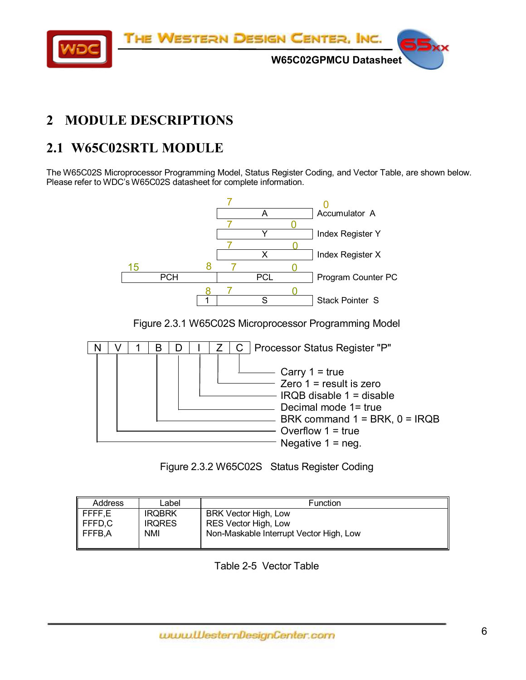

# <span id="page-5-0"></span>**2 MODULE DESCRIPTIONS**

# <span id="page-5-1"></span>**2.1 W65C02SRTL MODULE**

The W65C02S Microprocessor Programming Model, Status Register Coding, and Vector Table, are shown below. Please refer to WDC's W65C02S datasheet for complete information.



Figure 2.3.1 W65C02S Microprocessor Programming Model





| Address            | Label         | <b>Function</b>                         |
|--------------------|---------------|-----------------------------------------|
| $\parallel$ FFFF,E | <b>IRQBRK</b> | <b>BRK Vector High, Low</b>             |
| $\parallel$ FFFD,C | <b>IRQRES</b> | <b>RES Vector High, Low</b>             |
| $I$ FFFB.A         | NMI           | Non-Maskable Interrupt Vector High, Low |
|                    |               |                                         |

Table 2-5 Vector Table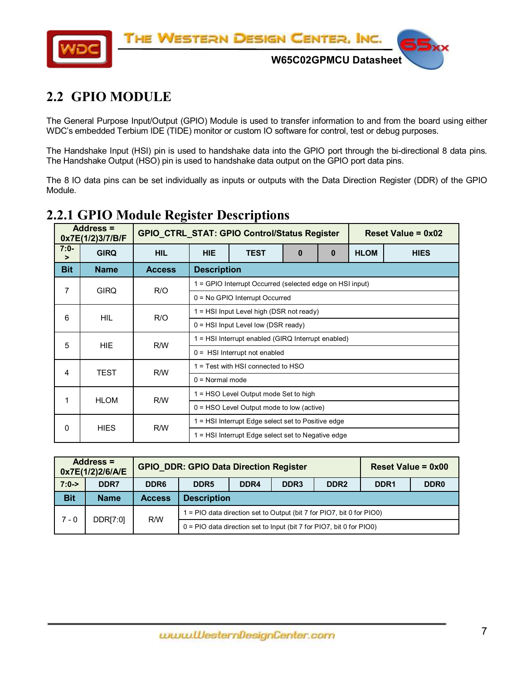

# <span id="page-6-0"></span>**2.2 GPIO MODULE**

The General Purpose Input/Output (GPIO) Module is used to transfer information to and from the board using either WDC's embedded Terbium IDE (TIDE) monitor or custom IO software for control, test or debug purposes.

The Handshake Input (HSI) pin is used to handshake data into the GPIO port through the bi-directional 8 data pins. The Handshake Output (HSO) pin is used to handshake data output on the GPIO port data pins.

The 8 IO data pins can be set individually as inputs or outputs with the Data Direction Register (DDR) of the GPIO Module.

|                  | Address =<br>0x7E(1/2)3/7/B/F |               |                                                    | <b>GPIO_CTRL_STAT: GPIO Control/Status Register</b>      |  |  |             | Reset Value = $0x02$ |  |  |  |
|------------------|-------------------------------|---------------|----------------------------------------------------|----------------------------------------------------------|--|--|-------------|----------------------|--|--|--|
| $7:0-$<br>$\geq$ | <b>GIRQ</b>                   | <b>HIL</b>    | <b>HIE</b><br><b>TEST</b><br>$\bf{0}$<br>$\bf{0}$  |                                                          |  |  | <b>HLOM</b> | <b>HIES</b>          |  |  |  |
| <b>Bit</b>       | <b>Name</b>                   | <b>Access</b> |                                                    | <b>Description</b>                                       |  |  |             |                      |  |  |  |
| 7                | <b>GIRQ</b>                   | R/O           |                                                    | 1 = GPIO Interrupt Occurred (selected edge on HSI input) |  |  |             |                      |  |  |  |
|                  |                               |               | 0 = No GPIO Interrupt Occurred                     |                                                          |  |  |             |                      |  |  |  |
| 6                | <b>HIL</b>                    | R/O           |                                                    | $1 = HSI$ Input Level high (DSR not ready)               |  |  |             |                      |  |  |  |
|                  |                               |               | $0 = HSI$ Input Level low (DSR ready)              |                                                          |  |  |             |                      |  |  |  |
| 5                | <b>HIE</b>                    | R/W           |                                                    | 1 = HSI Interrupt enabled (GIRQ Interrupt enabled)       |  |  |             |                      |  |  |  |
|                  |                               |               | $0 =$ HSI Interrupt not enabled                    |                                                          |  |  |             |                      |  |  |  |
| 4                | TEST                          | R/W           |                                                    | 1 = Test with HSI connected to HSO                       |  |  |             |                      |  |  |  |
|                  |                               |               | $0 = Normal mode$                                  |                                                          |  |  |             |                      |  |  |  |
| 1                | <b>HLOM</b>                   |               |                                                    | 1 = HSO Level Output mode Set to high                    |  |  |             |                      |  |  |  |
|                  |                               |               | R/W<br>$0 =$ HSO Level Output mode to low (active) |                                                          |  |  |             |                      |  |  |  |
| 0                | <b>HIES</b>                   |               | 1 = HSI Interrupt Edge select set to Positive edge |                                                          |  |  |             |                      |  |  |  |
|                  |                               | R/W           |                                                    | 1 = HSI Interrupt Edge select set to Negative edge       |  |  |             |                      |  |  |  |

#### <span id="page-6-1"></span>**2.2.1 GPIO Module Register Descriptions**

|            | Address $=$<br>0x7E(1/2)2/6/A/E |                  | <b>GPIO DDR: GPIO Data Direction Register</b>                           |                                                                                      |  | Reset Value = $0x00$ |  |  |  |  |
|------------|---------------------------------|------------------|-------------------------------------------------------------------------|--------------------------------------------------------------------------------------|--|----------------------|--|--|--|--|
| $7:0-$     | DDR7                            | DDR <sub>6</sub> | DDR <sub>5</sub>                                                        | DDR <sub>3</sub><br>DDR <sub>2</sub><br>DDR <sub>1</sub><br>DDR4<br>DDR <sub>0</sub> |  |                      |  |  |  |  |
| <b>Bit</b> | <b>Name</b>                     | <b>Access</b>    |                                                                         | <b>Description</b>                                                                   |  |                      |  |  |  |  |
| $7 - 0$    | DDR[7:0]                        | R/W              | $1 =$ PIO data direction set to Output (bit 7 for PIO7, bit 0 for PIO0) |                                                                                      |  |                      |  |  |  |  |
|            |                                 |                  | $0 =$ PIO data direction set to Input (bit 7 for PIO7, bit 0 for PIO0)  |                                                                                      |  |                      |  |  |  |  |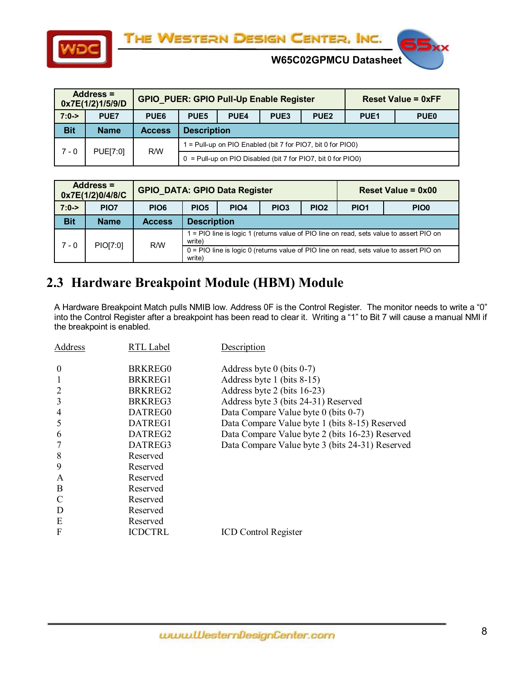



**W65C02GPMCU Datasheet** 

|            | Address =<br>0x7E(1/2)1/5/9/D |                  |                    | <b>GPIO_PUER: GPIO Pull-Up Enable Register</b>              |                  | <b>Reset Value = 0xFF</b>                                      |  |  |  |  |
|------------|-------------------------------|------------------|--------------------|-------------------------------------------------------------|------------------|----------------------------------------------------------------|--|--|--|--|
| $7:0-$     | <b>PUE7</b>                   | PUE <sub>6</sub> | PUE <sub>5</sub>   | PUE <sub>4</sub>                                            | PUE <sub>1</sub> | <b>PUE0</b>                                                    |  |  |  |  |
| <b>Bit</b> | <b>Name</b>                   | <b>Access</b>    | <b>Description</b> |                                                             |                  |                                                                |  |  |  |  |
| $7 - 0$    | PUE[7:0]                      | R/W              |                    | 1 = Pull-up on PIO Enabled (bit 7 for PIO7, bit 0 for PIO0) |                  |                                                                |  |  |  |  |
|            |                               |                  |                    |                                                             |                  | $0 =$ Pull-up on PIO Disabled (bit 7 for PIO7, bit 0 for PIO0) |  |  |  |  |

| Address =<br><b>GPIO DATA: GPIO Data Register</b><br>0x7E(1/2)0/4/8/C |                  |                  |                    |             |                  | <b>Reset Value = 0x00</b> |                  |                                                                                         |  |
|-----------------------------------------------------------------------|------------------|------------------|--------------------|-------------|------------------|---------------------------|------------------|-----------------------------------------------------------------------------------------|--|
| $7:0-$                                                                | PIO <sub>7</sub> | PIO <sub>6</sub> | PIO <sub>5</sub>   | <b>PIO4</b> | PIO <sub>3</sub> | PIO <sub>2</sub>          | PIO <sub>1</sub> | PIO <sub>0</sub>                                                                        |  |
| <b>Bit</b>                                                            | <b>Name</b>      | <b>Access</b>    | <b>Description</b> |             |                  |                           |                  |                                                                                         |  |
| $7 - 0$                                                               | PIO[7:0]         | R/W              | write)             |             |                  |                           |                  | 1 = PIO line is logic 1 (returns value of PIO line on read, sets value to assert PIO on |  |
|                                                                       |                  |                  | write)             |             |                  |                           |                  | 0 = PIO line is logic 0 (returns value of PIO line on read, sets value to assert PIO on |  |

# <span id="page-7-0"></span>**2.3 Hardware Breakpoint Module (HBM) Module**

A Hardware Breakpoint Match pulls NMIB low. Address 0F is the Control Register. The monitor needs to write a "0" into the Control Register after a breakpoint has been read to clear it. Writing a "1" to Bit 7 will cause a manual NMI if the breakpoint is enabled.

| Address  | RTL Label           | Description                                     |
|----------|---------------------|-------------------------------------------------|
| $\theta$ | BRKREG0             | Address byte 0 (bits $0-7$ )                    |
|          | BRKREG1             | Address byte 1 (bits 8-15)                      |
|          | BRKREG <sub>2</sub> | Address byte 2 (bits 16-23)                     |
| 3        | BRKREG3             | Address byte 3 (bits 24-31) Reserved            |
| 4        | DATREG0             | Data Compare Value byte 0 (bits 0-7)            |
| 5        | DATREG1             | Data Compare Value byte 1 (bits 8-15) Reserved  |
| 6        | DATREG2             | Data Compare Value byte 2 (bits 16-23) Reserved |
|          | DATREG3             | Data Compare Value byte 3 (bits 24-31) Reserved |
| 8        | Reserved            |                                                 |
| 9        | Reserved            |                                                 |
| A        | Reserved            |                                                 |
| B        | Reserved            |                                                 |
|          | Reserved            |                                                 |
| D        | Reserved            |                                                 |
| E        | Reserved            |                                                 |
| F        | <b>ICDCTRL</b>      | <b>ICD Control Register</b>                     |
|          |                     |                                                 |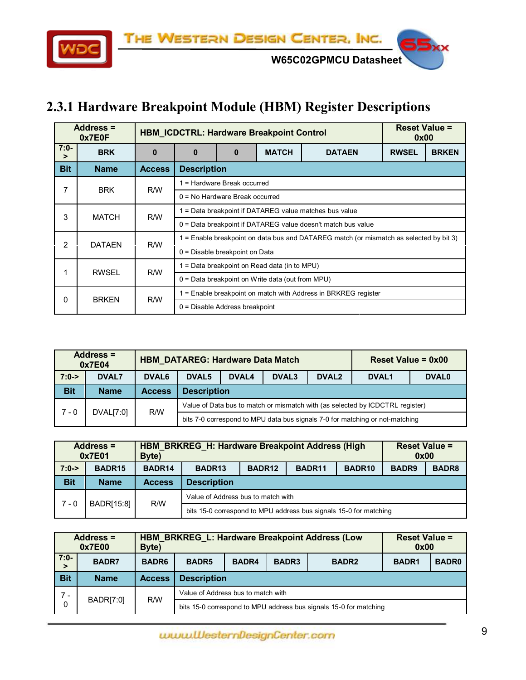THE WESTERN DESIGN CENTER, INC.



**W65C02GPMCU Datasheet** 

# <span id="page-8-0"></span>**2.3.1 Hardware Breakpoint Module (HBM) Register Descriptions**

|                  | Address =<br>0x7E0F |               |                                                        |                                  | <b>HBM ICDCTRL: Hardware Breakpoint Control</b>    |                                                                                      | <b>Reset Value =</b><br>0x00 |  |  |  |  |  |
|------------------|---------------------|---------------|--------------------------------------------------------|----------------------------------|----------------------------------------------------|--------------------------------------------------------------------------------------|------------------------------|--|--|--|--|--|
| $7:0-$<br>$\geq$ | <b>BRK</b>          | $\bf{0}$      | $\bf{0}$                                               | 0                                | <b>RWSEL</b>                                       | <b>BRKEN</b>                                                                         |                              |  |  |  |  |  |
| <b>Bit</b>       | <b>Name</b>         | <b>Access</b> |                                                        | <b>Description</b>               |                                                    |                                                                                      |                              |  |  |  |  |  |
| 7                | <b>BRK</b>          | R/W           |                                                        | 1 = Hardware Break occurred      |                                                    |                                                                                      |                              |  |  |  |  |  |
|                  |                     |               |                                                        | $0 = No$ Hardware Break occurred |                                                    |                                                                                      |                              |  |  |  |  |  |
| 3                | <b>MATCH</b>        | R/W           | 1 = Data breakpoint if DATAREG value matches bus value |                                  |                                                    |                                                                                      |                              |  |  |  |  |  |
|                  |                     |               |                                                        |                                  |                                                    | 0 = Data breakpoint if DATAREG value doesn't match bus value                         |                              |  |  |  |  |  |
| 2                | <b>DATAEN</b>       | R/W           |                                                        |                                  |                                                    | = Enable breakpoint on data bus and DATAREG match (or mismatch as selected by bit 3) |                              |  |  |  |  |  |
|                  |                     |               |                                                        | 0 = Disable breakpoint on Data   |                                                    |                                                                                      |                              |  |  |  |  |  |
| 1                | <b>RWSEL</b>        | R/W           |                                                        |                                  | = Data breakpoint on Read data (in to MPU)         |                                                                                      |                              |  |  |  |  |  |
|                  |                     |               |                                                        |                                  | $0 = Data$ breakpoint on Write data (out from MPU) |                                                                                      |                              |  |  |  |  |  |
| 0                | <b>BRKEN</b>        | R/W           |                                                        |                                  |                                                    | 1 = Enable breakpoint on match with Address in BRKREG register                       |                              |  |  |  |  |  |
|                  |                     |               |                                                        | $0 =$ Disable Address breakpoint |                                                    |                                                                                      |                              |  |  |  |  |  |

|            | <b>Address =</b><br>0x7E04 |               | <b>HBM_DATAREG: Hardware Data Match</b> |                                                                                        |  |  | <b>Reset Value = 0x00</b>                                                     |  |  |  |
|------------|----------------------------|---------------|-----------------------------------------|----------------------------------------------------------------------------------------|--|--|-------------------------------------------------------------------------------|--|--|--|
| $7:0-$     | DVAL7                      | <b>DVAL6</b>  | DVAL <sub>5</sub>                       | <b>DVAL3</b><br>DVAL <sub>2</sub><br><b>DVAL4</b><br>DVAL <sub>1</sub><br><b>DVAL0</b> |  |  |                                                                               |  |  |  |
| <b>Bit</b> | <b>Name</b>                | <b>Access</b> |                                         | <b>Description</b>                                                                     |  |  |                                                                               |  |  |  |
| $7 - 0$    | DVAL[7:0]                  | R/W           |                                         |                                                                                        |  |  | Value of Data bus to match or mismatch with (as selected by ICDCTRL register) |  |  |  |
|            |                            |               |                                         |                                                                                        |  |  | bits 7-0 correspond to MPU data bus signals 7-0 for matching or not-matching  |  |  |  |

|            | <b>Address =</b><br>0x7E01 | Byte)              | HBM BRKREG H: Hardware Breakpoint Address (High                   |                    | <b>Reset Value =</b><br>0x00 |                   |              |  |  |
|------------|----------------------------|--------------------|-------------------------------------------------------------------|--------------------|------------------------------|-------------------|--------------|--|--|
| $7:0-$     | BADR <sub>15</sub>         | BADR <sub>14</sub> | BADR <sub>13</sub>                                                | BADR <sub>12</sub> | BADR <sub>10</sub>           | BADR <sub>9</sub> | <b>BADR8</b> |  |  |
| <b>Bit</b> | <b>Name</b>                | <b>Access</b>      | <b>Description</b>                                                |                    |                              |                   |              |  |  |
| $7 - 0$    |                            | R/W                |                                                                   |                    |                              |                   |              |  |  |
|            | BADR[15:8]                 |                    | bits 15-0 correspond to MPU address bus signals 15-0 for matching |                    |                              |                   |              |  |  |

| <b>Address =</b><br>0x7E00<br>Byte) |                  |               | <b>HBM BRKREG L: Hardware Breakpoint Address (Low</b> | <b>Reset Value =</b><br>0x00          |  |                                                                   |  |  |  |  |
|-------------------------------------|------------------|---------------|-------------------------------------------------------|---------------------------------------|--|-------------------------------------------------------------------|--|--|--|--|
| $7:0-$<br>>                         | <b>BADR7</b>     | <b>BADR6</b>  | <b>BADR5</b>                                          | BADR3<br><b>BADR4</b><br><b>BADR2</b> |  |                                                                   |  |  |  |  |
| <b>Bit</b>                          | <b>Name</b>      | <b>Access</b> | <b>Description</b>                                    |                                       |  |                                                                   |  |  |  |  |
| $7 -$                               | <b>BADR[7:0]</b> | R/W           | Value of Address bus to match with                    |                                       |  |                                                                   |  |  |  |  |
| 0                                   |                  |               |                                                       |                                       |  | bits 15-0 correspond to MPU address bus signals 15-0 for matching |  |  |  |  |